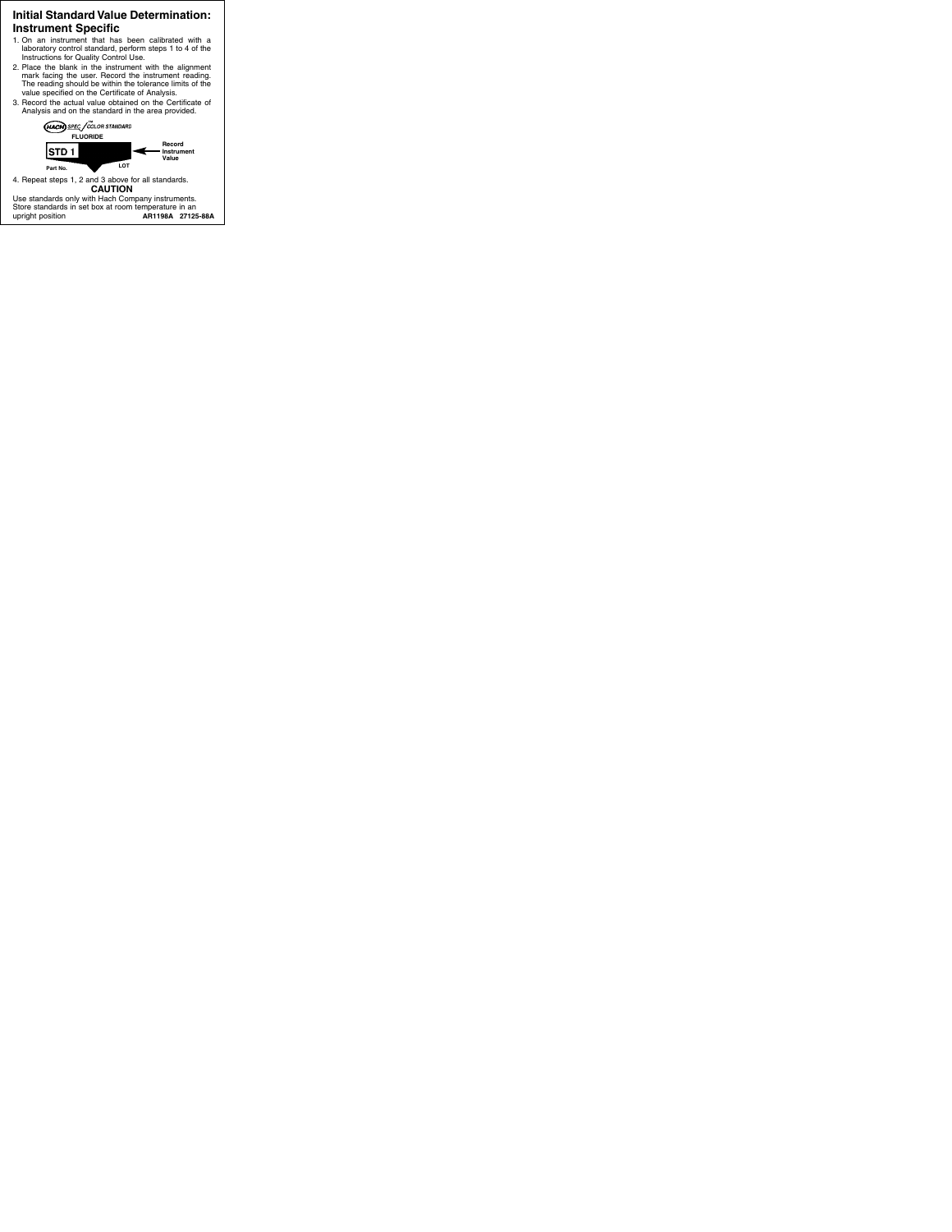## **Initial Standard Value Determination: Instrument Specific**

- 1. On an instrument that has been calibrated with a laboratory control standard, perform steps 1 to 4 of the Instructions for Quality Control Use.
- 2. Place the blank in the instrument with the alignment mark facing the user. Record the instrument reading. The reading should be within the tolerance limits of the value specified on the Certificate of Analysis.
- 3. Record the actual value obtained on the Certificate of Analysis and on the standard in the area provided.



4. Repeat steps 1, 2 and 3 above for all standards. **CAUTION**

Use standards only with Hach Company instruments. Store standards in set box at room temperature in an upright position **AR1198A 27125-88A**